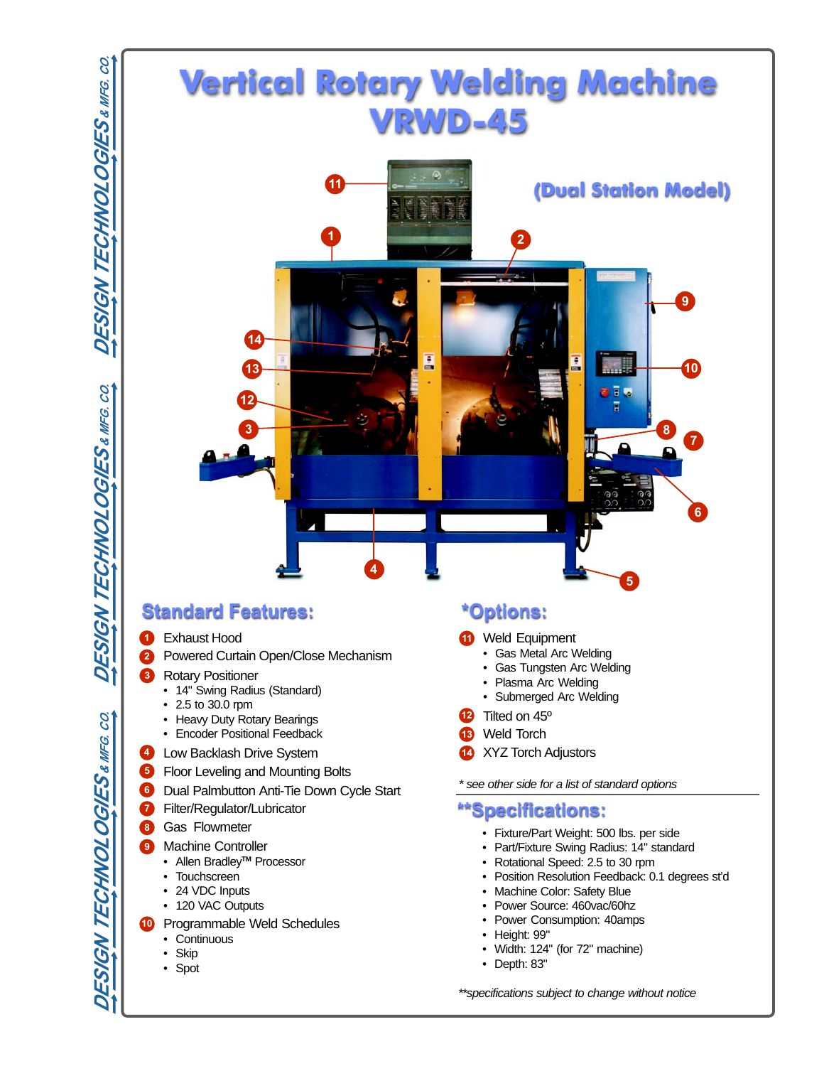S.